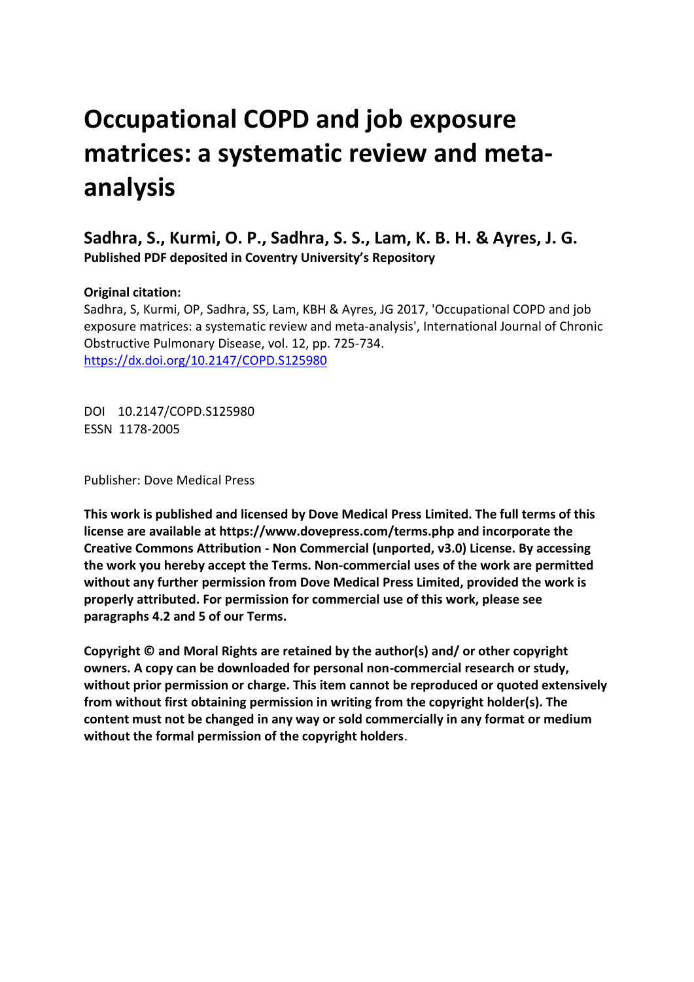# **Occupational COPD and job exposure matrices: a systematic review and metaanalysis**

 **Published PDF deposited in Coventry University's Repository Sadhra, S., Kurmi, O. P., Sadhra, S. S., Lam, K. B. H. & Ayres, J. G.** 

#### **Original citation:**

 Sadhra, S, Kurmi, OP, Sadhra, SS, Lam, KBH & Ayres, JG 2017, 'Occupational COPD and job exposure matrices: a systematic review and meta-analysis', International Journal of Chronic Obstructive Pulmonary Disease, vol. 12, pp. 725-734. https://dx.doi.org/10.2147/COPD.S125980

 DOI 10.2147/COPD.S125980 ESSN 1178-2005

Publisher: Dove Medical Press

 **This work is published and licensed by Dove Medical Press Limited. The full terms of this license are available at https://www.dovepress.com/terms.php and incorporate the Creative Commons Attribution - Non Commercial (unported, v3.0) License. By accessing the work you hereby accept the Terms. Non-commercial uses of the work are permitted without any further permission from Dove Medical Press Limited, provided the work is properly attributed. For permission for commercial use of this work, please see paragraphs 4.2 and 5 of our Terms.** 

 **Copyright © and Moral Rights are retained by the author(s) and/ or other copyright owners. A copy can be downloaded for personal non-commercial research or study, without prior permission or charge. This item cannot be reproduced or quoted extensively from without first obtaining permission in writing from the copyright holder(s). The content must not be changed in any way or sold commercially in any format or medium without the formal permission of the copyright holders**.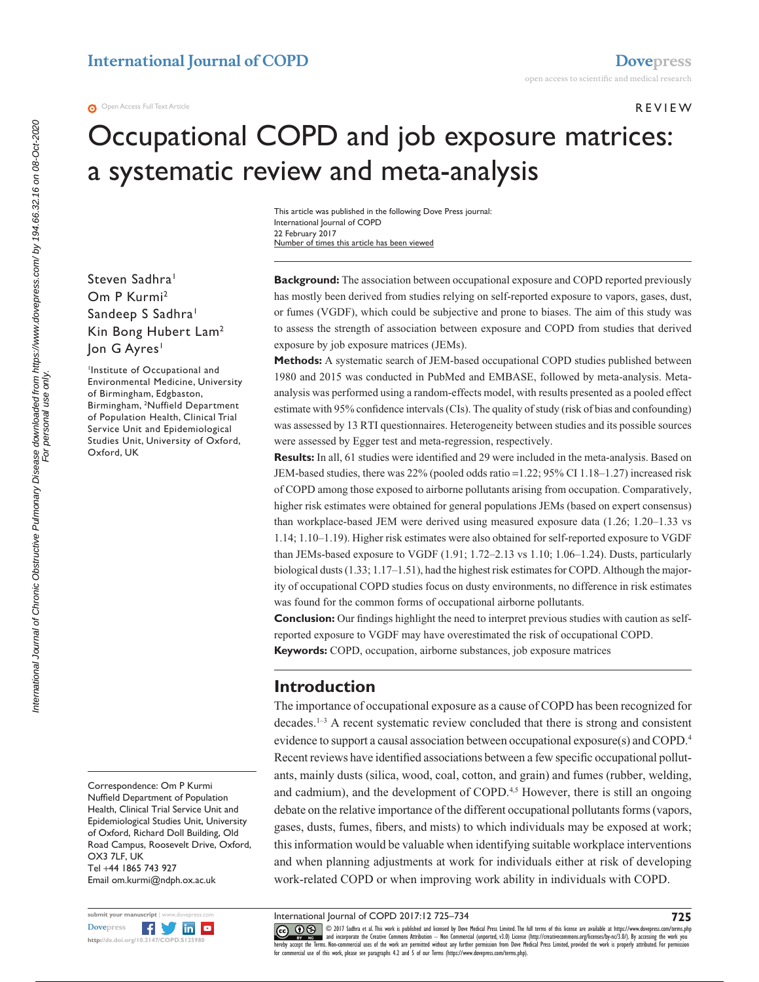#### **REVIEW**

**725** 

# Occupational COPD and job exposure matrices: a systematic review and meta-analysis

Number of times this article has been viewed This article was published in the following Dove Press journal: International Journal of COPD 22 February 2017

Steven Sadhra<sup>1</sup> Om P Kurmi2 Sandeep S Sadhra<sup>1</sup> Kin Bong Hubert Lam2 Jon G Ayres<sup>1</sup>

Institute of Occupational and Environmental Medicine, University of Birmingham, Edgbaston, of Population Health, Clinical Trial Service Unit and Epidemiological Studies Unit, University of Oxford, Birmingham, 2 Nuffield Department Oxford, UK

Correspondence: Om P Kurmi Nuffield Department of Population Health, Clinical Trial Service Unit and Epidemiological Studies Unit, University of Oxford, Richard Doll Building, Old Road Campus, Roosevelt Drive, Oxford, OX3 7LF, UK Tel +44 1865 743 927 email [om.kurmi@ndph.ox.ac.uk](mailto:om.kurmi@ndph.ox.ac.uk)



**Background:** The association between occupational exposure and COPD reported previously has mostly been derived from studies relying on self-reported exposure to vapors, gases, dust, or fumes (VGDF), which could be subjective and prone to biases. The aim of this study was to assess the strength of association between exposure and COPD from studies that derived exposure by job exposure matrices (JEMs).

**Methods:** A systematic search of JEM-based occupational COPD studies published between 1980 and 2015 was conducted in PubMed and EMBASE, followed by meta-analysis. Metaanalysis was performed using a random-effects model, with results presented as a pooled effect estimate with 95% confidence intervals (CIs). The quality of study (risk of bias and confounding) was assessed by 13 RTI questionnaires. Heterogeneity between studies and its possible sources were assessed by Egger test and meta-regression, respectively.

**Results:** In all, 61 studies were identified and 29 were included in the meta-analysis. Based on JEM-based studies, there was 22% (pooled odds ratio =1.22; 95% CI 1.18–1.27) increased risk of COPD among those exposed to airborne pollutants arising from occupation. Comparatively, higher risk estimates were obtained for general populations JEMs (based on expert consensus) than workplace-based JEM were derived using measured exposure data (1.26; 1.20–1.33 vs 1.14; 1.10–1.19). Higher risk estimates were also obtained for self-reported exposure to VGDF than JEMs-based exposure to VGDF (1.91; 1.72–2.13 vs 1.10; 1.06–1.24). Dusts, particularly biological dusts (1.33; 1.17–1.51), had the highest risk estimates for COPD. Although the majority of occupational COPD studies focus on dusty environments, no difference in risk estimates was found for the common forms of occupational airborne pollutants.

**Conclusion:** Our findings highlight the need to interpret previous studies with caution as selfreported exposure to VGDF may have overestimated the risk of occupational COPD. **Keywords:** COPD, occupation, airborne substances, job exposure matrices

### **Introduction**

 The importance of occupational exposure as a cause of COPD has been recognized for debate on the relative importance of the different occupational pollutants forms (vapors, this information would be valuable when identifying suitable workplace interventions decades.1–3 A recent systematic review concluded that there is strong and consistent evidence to support a causal association between occupational exposure(s) and COPD.4 Recent reviews have identified associations between a few specific occupational pollutants, mainly dusts (silica, wood, coal, cotton, and grain) and fumes (rubber, welding, and cadmium), and the development of COPD.<sup>4,5</sup> However, there is still an ongoing gases, dusts, fumes, fibers, and mists) to which individuals may be exposed at work; and when planning adjustments at work for individuals either at risk of developing work-related COPD or when improving work ability in individuals with COPD.

International Journal of COPD 2017:12 725–734

CCC 1 © S 2017 Sadhra et al. This work is published and licensed by Dove Medical Press Limited. The full terms of this license are available at <https://www.dovepress.com/terms.php><br>[hereby accept the Terms](http://www.dovepress.com/permissions.php). Non-commercial us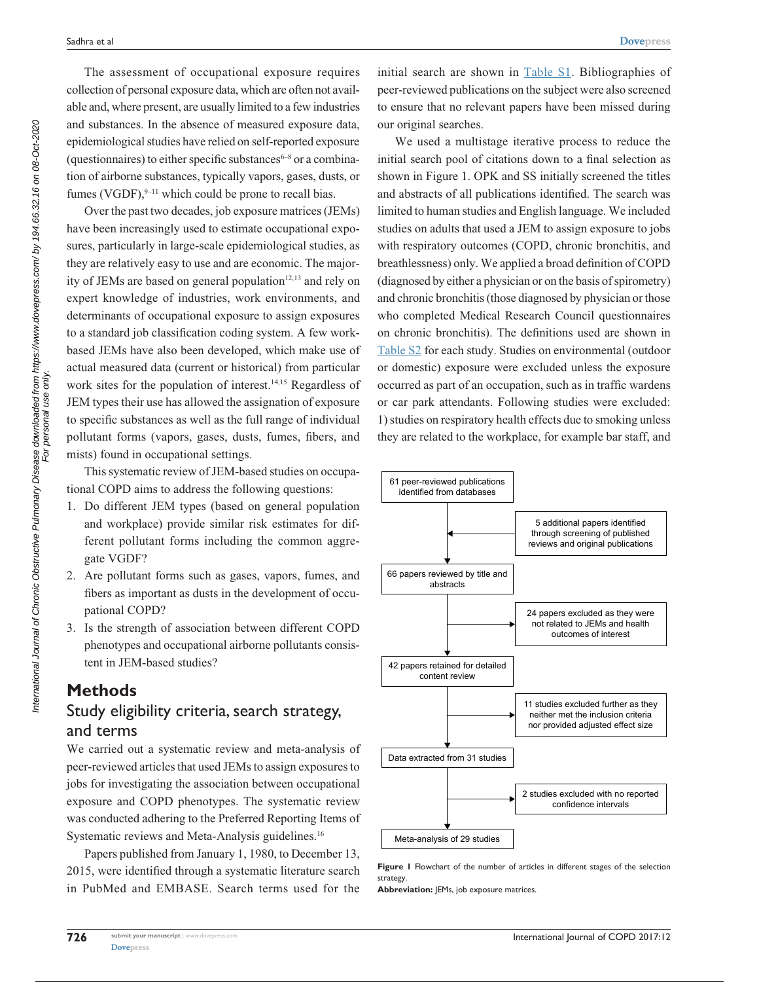**[Dovepress](www.dovepress.com)** 

 able and, where present, are usually limited to a few industries and substances. In the absence of measured exposure data, epidemiological studies have relied on self-reported exposure The assessment of occupational exposure requires collection of personal exposure data, which are often not avail-(questionnaires) to either specific substances $6-8$  or a combination of airborne substances, typically vapors, gases, dusts, or fumes (VGDF), $9-11$  which could be prone to recall bias.

 Over the past two decades, job exposure matrices (JEMs) expert knowledge of industries, work environments, and pollutant forms (vapors, gases, dusts, fumes, fibers, and have been increasingly used to estimate occupational exposures, particularly in large-scale epidemiological studies, as they are relatively easy to use and are economic. The majority of JEMs are based on general population<sup>12,13</sup> and rely on determinants of occupational exposure to assign exposures to a standard job classification coding system. A few workbased JEMs have also been developed, which make use of actual measured data (current or historical) from particular work sites for the population of interest.<sup>14,15</sup> Regardless of JEM types their use has allowed the assignation of exposure to specific substances as well as the full range of individual mists) found in occupational settings.

This systematic review of JEM-based studies on occupational COPD aims to address the following questions:

- 1. Do different JEM types (based on general population ferent pollutant forms including the common aggre and workplace) provide similar risk estimates for difgate VGDF?
- 2. Are pollutant forms such as gases, vapors, fumes, and fibers as important as dusts in the development of occupational COPD?
- 3. Is the strength of association between different COPD phenotypes and occupational airborne pollutants consistent in JEM-based studies?

#### **Methods**

# Study eligibility criteria, search strategy, and terms

 We carried out a systematic review and meta-analysis of peer-reviewed articles that used JEMs to assign exposures to exposure and COPD phenotypes. The systematic review jobs for investigating the association between occupational was conducted adhering to the Preferred Reporting Items of Systematic reviews and Meta-Analysis guidelines.<sup>16</sup>

 in PubMed and EMBASE. Search terms used for the Papers published from January 1, 1980, to December 13, 2015, were identified through a systematic literature search

 peer-reviewed publications on the subject were also screened initial search are shown in [Table S1](https://www.dovepress.com/get_supplementary_file.php?f=125980.pdf). Bibliographies of to ensure that no relevant papers have been missed during our original searches.

 We used a multistage iterative process to reduce the limited to human studies and English language. We included breathlessness) only. We applied a broad definition of COPD (diagnosed by either a physician or on the basis of spirometry) and chronic bronchitis (those diagnosed by physician or those or car park attendants. Following studies were excluded: 1) studies on respiratory health effects due to smoking unless initial search pool of citations down to a final selection as shown in Figure 1. OPK and SS initially screened the titles and abstracts of all publications identified. The search was studies on adults that used a JEM to assign exposure to jobs with respiratory outcomes (COPD, chronic bronchitis, and who completed Medical Research Council questionnaires on chronic bronchitis). The definitions used are shown in [Table S2](https://www.dovepress.com/get_supplementary_file.php?f=125980.pdf) for each study. Studies on environmental (outdoor or domestic) exposure were excluded unless the exposure occurred as part of an occupation, such as in traffic wardens they are related to the workplace, for example bar staff, and



**Figure 1** Flowchart of the number of articles in different stages of the selection strategy.

**Abbreviation:** JeMs, job exposure matrices.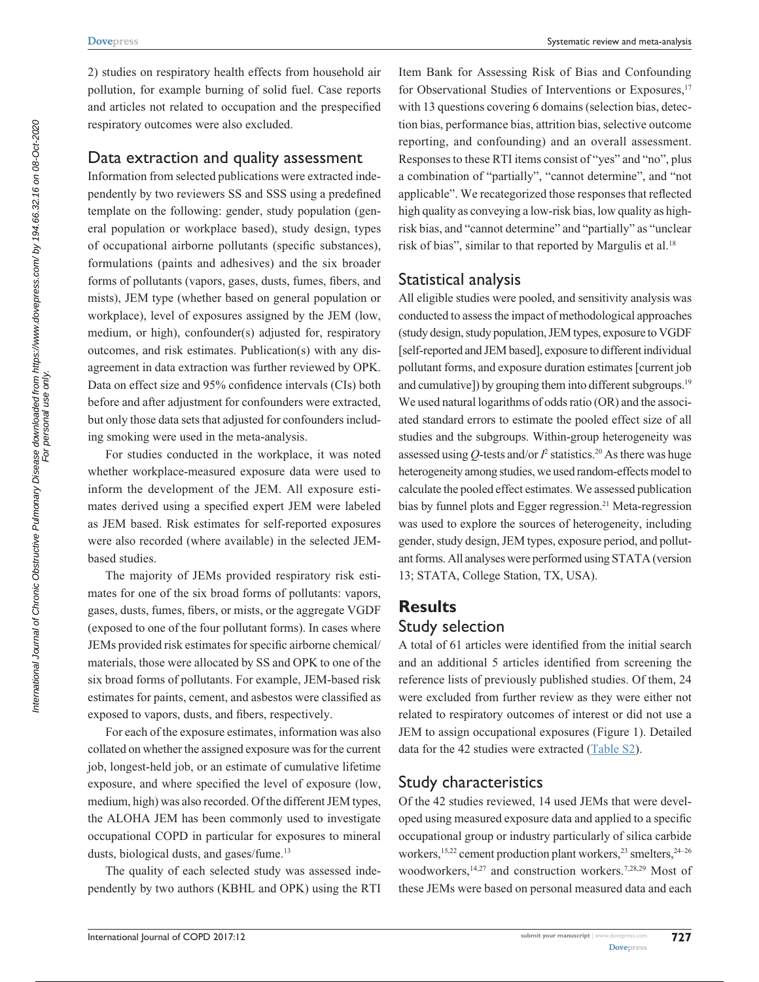2) studies on respiratory health effects from household air pollution, for example burning of solid fuel. Case reports and articles not related to occupation and the prespecified respiratory outcomes were also excluded.

#### Data extraction and quality assessment

 eral population or workplace based), study design, types of occupational airborne pollutants (specific substances), formulations (paints and adhesives) and the six broader Information from selected publications were extracted independently by two reviewers SS and SSS using a predefined template on the following: gender, study population (genforms of pollutants (vapors, gases, dusts, fumes, fibers, and mists), JEM type (whether based on general population or workplace), level of exposures assigned by the JEM (low, medium, or high), confounder(s) adjusted for, respiratory outcomes, and risk estimates. Publication(s) with any disagreement in data extraction was further reviewed by OPK. Data on effect size and 95% confidence intervals (CIs) both before and after adjustment for confounders were extracted, but only those data sets that adjusted for confounders including smoking were used in the meta-analysis.

 For studies conducted in the workplace, it was noted whether workplace-measured exposure data were used to inform the development of the JEM. All exposure estimates derived using a specified expert JEM were labeled as JEM based. Risk estimates for self-reported exposures were also recorded (where available) in the selected JEMbased studies.

The majority of JEMs provided respiratory risk estimates for one of the six broad forms of pollutants: vapors, gases, dusts, fumes, fibers, or mists, or the aggregate VGDF (exposed to one of the four pollutant forms). In cases where JEMs provided risk estimates for specific airborne chemical/ materials, those were allocated by SS and OPK to one of the six broad forms of pollutants. For example, JEM-based risk estimates for paints, cement, and asbestos were classified as exposed to vapors, dusts, and fibers, respectively.

 collated on whether the assigned exposure was for the current medium, high) was also recorded. Of the different JEM types, For each of the exposure estimates, information was also job, longest-held job, or an estimate of cumulative lifetime exposure, and where specified the level of exposure (low, the ALOHA JEM has been commonly used to investigate occupational COPD in particular for exposures to mineral dusts, biological dusts, and gases/fume.<sup>13</sup>

The quality of each selected study was assessed independently by two authors (KBHL and OPK) using the RTI

 Item Bank for Assessing Risk of Bias and Confounding reporting, and confounding) and an overall assessment. Responses to these RTI items consist of "yes" and "no", plus risk bias, and "cannot determine" and "partially" as "unclear for Observational Studies of Interventions or Exposures,<sup>17</sup> with 13 questions covering 6 domains (selection bias, detection bias, performance bias, attrition bias, selective outcome a combination of "partially", "cannot determine", and "not applicable". We recategorized those responses that reflected high quality as conveying a low-risk bias, low quality as highrisk of bias", similar to that reported by Margulis et al.<sup>18</sup>

#### Statistical analysis

 All eligible studies were pooled, and sensitivity analysis was conducted to assess the impact of methodological approaches (study design, study population, JEM types, exposure to VGDF pollutant forms, and exposure duration estimates [current job and cumulative]) by grouping them into different subgroups.<sup>19</sup> ated standard errors to estimate the pooled effect size of all studies and the subgroups. Within-group heterogeneity was assessed using  $Q$ -tests and/or  $I^2$  statistics.<sup>20</sup> As there was huge heterogeneity among studies, we used random-effects model to calculate the pooled effect estimates. We assessed publication was used to explore the sources of heterogeneity, including ant forms. All analyses were performed using STATA (version [self-reported and JEM based], exposure to different individual We used natural logarithms of odds ratio (OR) and the associbias by funnel plots and Egger regression.<sup>21</sup> Meta-regression gender, study design, JEM types, exposure period, and pollut-13; STATA, College Station, TX, USA).

# **Results**  Study selection

 and an additional 5 articles identified from screening the A total of 61 articles were identified from the initial search reference lists of previously published studies. Of them, 24 were excluded from further review as they were either not related to respiratory outcomes of interest or did not use a JEM to assign occupational exposures (Figure 1). Detailed data for the 42 studies were extracted ([Table S2\)](https://www.dovepress.com/get_supplementary_file.php?f=125980.pdf).

#### Study characteristics

woodworkers,  $14,27$  and construction workers.  $7,28,29$  Most of Of the 42 studies reviewed, 14 used JEMs that were developed using measured exposure data and applied to a specific occupational group or industry particularly of silica carbide workers,<sup>15,22</sup> cement production plant workers,<sup>23</sup> smelters,<sup>24-26</sup> these JEMs were based on personal measured data and each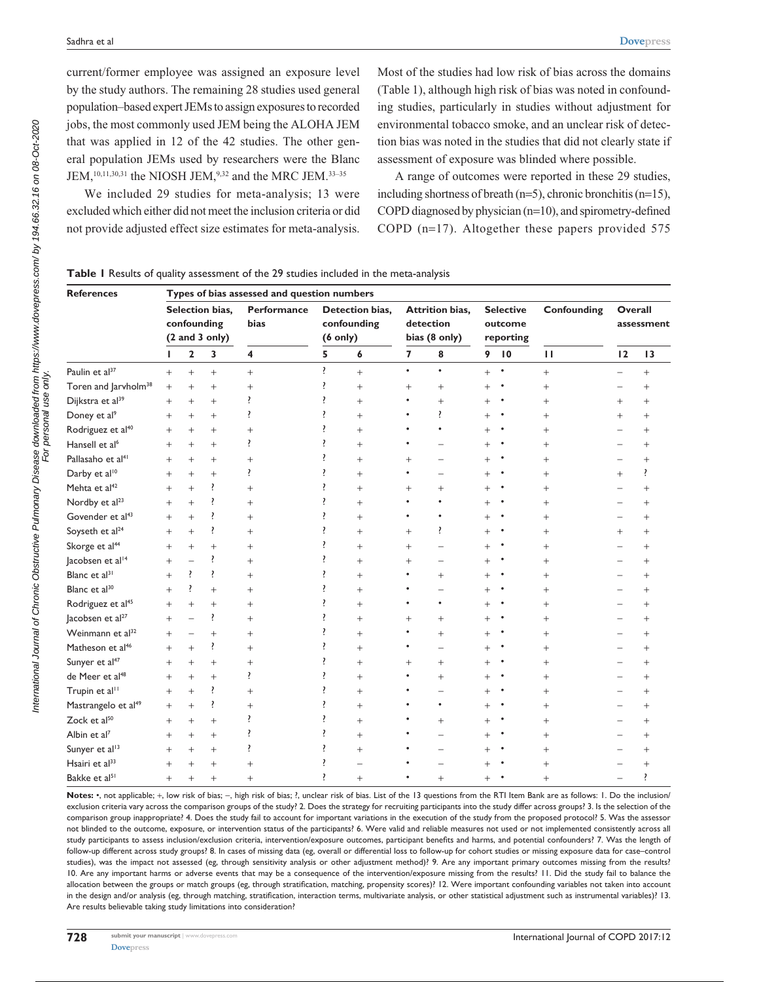current/former employee was assigned an exposure level population–based expert JEMs to assign exposures to recorded by the study authors. The remaining 28 studies used general jobs, the most commonly used JEM being the ALOHA JEM that was applied in 12 of the 42 studies. The other general population JEMs used by researchers were the Blanc JEM,<sup>10,11,30,31</sup> the NIOSH JEM,<sup>9,32</sup> and the MRC JEM.<sup>33-35</sup>

 We included 29 studies for meta-analysis; 13 were excluded which either did not meet the inclusion criteria or did not provide adjusted effect size estimates for meta-analysis.

Most of the studies had low risk of bias across the domains (Table 1), although high risk of bias was noted in confounding studies, particularly in studies without adjustment for environmental tobacco smoke, and an unclear risk of detection bias was noted in the studies that did not clearly state if assessment of exposure was blinded where possible.

 A range of outcomes were reported in these 29 studies, COPD (n=17). Altogether these papers provided 575 including shortness of breath (n=5), chronic bronchitis (n=15), COPD diagnosed by physician (n=10), and spirometry-defined

**Table 1** Results of quality assessment of the 29 studies included in the meta-analysis

| <b>References</b>                | Types of bias assessed and question numbers                         |                          |                    |                     |                                                      |        |                                                      |                          |                                          |           |              |                              |        |
|----------------------------------|---------------------------------------------------------------------|--------------------------|--------------------|---------------------|------------------------------------------------------|--------|------------------------------------------------------|--------------------------|------------------------------------------|-----------|--------------|------------------------------|--------|
|                                  | Selection bias,<br>confounding<br>$(2 \text{ and } 3 \text{ only})$ |                          |                    | Performance<br>bias | Detection bias,<br>confounding<br>$(6 \text{ only})$ |        | <b>Attrition bias,</b><br>detection<br>bias (8 only) |                          | <b>Selective</b><br>outcome<br>reporting |           | Confounding  | <b>Overall</b><br>assessment |        |
|                                  |                                                                     | $\mathbf{2}$             | 3                  | 4                   | 5                                                    | 6      | $\overline{7}$                                       | 8                        | 9                                        | 10        | $\mathbf{H}$ | 12                           | 13     |
| Paulin et al <sup>37</sup>       | $+$                                                                 | $^{+}$                   | $+$                | $^{+}$              | ŗ                                                    | $^{+}$ | $\bullet$                                            | $\bullet$                | $+$                                      | $\bullet$ | $^{+}$       | $\overline{\phantom{0}}$     | $^{+}$ |
| Toren and Jarvholm <sup>38</sup> | $+$                                                                 | $+$                      | $+$                | $^{+}$              | 1                                                    | $+$    | $+$                                                  | $+$                      |                                          |           | $^{+}$       |                              | $^{+}$ |
| Dijkstra et al <sup>39</sup>     | $^{+}$                                                              | $+$                      | $+$                | ŗ                   | ,                                                    | $+$    | ٠                                                    | $+$                      | $^+$                                     |           | $^{+}$       | $+$                          | $^{+}$ |
| Doney et al <sup>9</sup>         | $^{+}$                                                              | $^{+}$                   | $^{+}$             | ŗ                   | ,                                                    | $^{+}$ |                                                      | ŗ                        |                                          | ٠         | $^{+}$       | $^{+}$                       | $^{+}$ |
| Rodriguez et al <sup>40</sup>    | $+$                                                                 | $^{+}$                   | $^{+}$             | $^{+}$              |                                                      | $^{+}$ |                                                      |                          |                                          |           | $^{+}$       | $\equiv$                     | $^{+}$ |
| Hansell et al <sup>6</sup>       | $+$                                                                 | $+$                      | $+$                | ŗ                   | ,                                                    | $+$    |                                                      |                          |                                          |           | $^{+}$       |                              | $^{+}$ |
| Pallasaho et al <sup>41</sup>    | $^{+}$                                                              | $^{+}$                   | $^{+}$             | $^{+}$              | ,                                                    | $^{+}$ | $+$                                                  |                          | $\, +$                                   |           | $^{+}$       |                              | $^{+}$ |
| Darby et al <sup>10</sup>        | $+$                                                                 | $+$                      | $+$                | ŗ                   | 1                                                    | $+$    |                                                      |                          |                                          |           | $^{+}$       | $+$                          | ŗ      |
| Mehta et al <sup>42</sup>        | $+$                                                                 | $+$                      | ì                  | $^{+}$              | 1                                                    | $+$    | $^{+}$                                               | $+$                      |                                          |           | $^{+}$       |                              | $^{+}$ |
| Nordby et al <sup>23</sup>       | $^{+}$                                                              | $+$                      | ŗ                  | $^{+}$              | 1                                                    | $^{+}$ |                                                      |                          |                                          |           | $^{+}$       |                              | $^{+}$ |
| Govender et al <sup>43</sup>     | $^{+}$                                                              | $^{+}$                   | ì                  | $^{+}$              | 1                                                    | $^{+}$ | ٠                                                    | $\bullet$                |                                          |           | $^{+}$       |                              | $^{+}$ |
| Soyseth et al <sup>24</sup>      | $^{+}$                                                              | $+$                      | ŗ                  | $^{+}$              | ŗ                                                    | $^{+}$ | $^{+}$                                               | ŗ                        |                                          | $\bullet$ | $^{+}$       | $^{+}$                       | $^{+}$ |
| Skorge et al <sup>44</sup>       | $+$                                                                 | $^{+}$                   | $\overline{+}$     | $^{+}$              |                                                      | $^{+}$ | $+$                                                  |                          | $^+$                                     |           | $^{+}$       |                              | $^{+}$ |
| Jacobsen et al <sup>14</sup>     | $^{+}$                                                              | $\overline{\phantom{0}}$ | ì                  | $^{+}$              | 1                                                    | $+$    | $^{+}$                                               | $\overline{\phantom{0}}$ |                                          |           | $^{+}$       |                              | $^{+}$ |
| Blanc et al <sup>31</sup>        | $+$                                                                 | ŗ                        | $\overline{\cdot}$ | $^{+}$              | ŗ                                                    | $^{+}$ |                                                      | $\! + \!\!\!\!$          |                                          |           | $^{+}$       |                              | $^{+}$ |
| Blanc et al <sup>30</sup>        | $^{+}$                                                              | ŗ                        | $\overline{+}$     | $^{+}$              | ,                                                    | $^{+}$ |                                                      |                          | $^+$                                     |           | $^{+}$       |                              | $^{+}$ |
| Rodriguez et al <sup>45</sup>    | $+$                                                                 | $^{+}$                   | $\ddot{+}$         | $^{+}$              | 1                                                    | $+$    |                                                      | $\bullet$                |                                          |           | $+$          |                              | $+$    |
| Jacobsen et al <sup>27</sup>     | $^{+}$                                                              | $\overline{\phantom{0}}$ | ì                  | $^{+}$              |                                                      | $^{+}$ | $+$                                                  | $+$                      |                                          | $\bullet$ | $^{+}$       |                              | $^{+}$ |
| Weinmann et al <sup>32</sup>     | $^{+}$                                                              | $\overline{\phantom{0}}$ | $\ddot{+}$         | $^{+}$              |                                                      | $^{+}$ |                                                      | $+$                      |                                          |           | $^{+}$       |                              | $^{+}$ |
| Matheson et al <sup>46</sup>     | $+$                                                                 | $+$                      | ì                  | $+$                 | ŗ                                                    | $+$    |                                                      |                          |                                          |           | $+$          |                              | $+$    |
| Sunyer et al <sup>47</sup>       | $+$                                                                 | $+$                      | $^{+}$             | $^{+}$              | 1                                                    | $+$    | $^{+}$                                               | $^{+}$                   |                                          |           | $^{+}$       |                              | $^{+}$ |
| de Meer et al <sup>48</sup>      | $+$                                                                 | $+$                      | $^{+}$             | ı                   | 1                                                    | $^{+}$ |                                                      | $+$                      |                                          |           | $^{+}$       |                              | $^{+}$ |
| Trupin et al <sup>11</sup>       | $+$                                                                 | $^{+}$                   | ì                  | $^{+}$              | ŗ                                                    | $^{+}$ |                                                      |                          |                                          |           | $^{+}$       |                              | $^{+}$ |
| Mastrangelo et al <sup>49</sup>  | $^{+}$                                                              | $^{+}$                   | ì                  | $^{+}$              | 1                                                    | $^{+}$ |                                                      | ٠                        |                                          |           | $^{+}$       |                              | $^{+}$ |
| Zock et al <sup>50</sup>         | $^{+}$                                                              | $+$                      | $^{+}$             | ŗ                   | ŗ                                                    | $^{+}$ |                                                      | $+$                      |                                          |           | $^{+}$       |                              | $^{+}$ |
| Albin et al <sup>7</sup>         | $^{+}$                                                              | $+$                      | $+$                | ŗ                   | ŗ                                                    | $+$    |                                                      |                          |                                          |           | $^{+}$       |                              | $^+$   |
| Sunyer et al <sup>13</sup>       | $^{+}$                                                              | $^{+}$                   | $+$                | ŗ                   | ,                                                    | $^{+}$ |                                                      |                          |                                          |           | $^{+}$       |                              | $^{+}$ |
| Hsairi et al <sup>33</sup>       | $^{+}$                                                              | $^{+}$                   | $^{+}$             | $^{+}$              |                                                      |        |                                                      |                          |                                          |           | $^{+}$       |                              | $^{+}$ |
| Bakke et al <sup>51</sup>        | $^{+}$                                                              | $+$                      | $^{+}$             | $^{+}$              | ,                                                    | $^{+}$ |                                                      | $+$                      | $^+$                                     | $\bullet$ | $^{+}$       |                              | ŗ      |

**Notes:** •, not applicable; +, low risk of bias; -, high risk of bias; ?, unclear risk of bias. List of the 13 questions from the RTI Item Bank are as follows: 1. Do the inclusion/ exclusion criteria vary across the comparison groups of the study? 2. Does the strategy for recruiting participants into the study differ across groups? 3. Is the selection of the comparison group inappropriate? 4. Does the study fail to account for important variations in the execution of the study from the proposed protocol? 5. was the assessor not blinded to the outcome, exposure, or intervention status of the participants? 6. were valid and reliable measures not used or not implemented consistently across all study participants to assess inclusion/exclusion criteria, intervention/exposure outcomes, participant benefits and harms, and potential confounders? 7. Was the length of follow-up different across study groups? 8. In cases of missing data (eg, overall or differential loss to follow-up for cohort studies or missing exposure data for case–control studies), was the impact not assessed (eg, through sensitivity analysis or other adjustment method)? 9. Are any important primary outcomes missing from the results? 10. Are any important harms or adverse events that may be a consequence of the intervention/exposure missing from the results? 11. Did the study fail to balance the allocation between the groups or match groups (eg, through stratification, matching, propensity scores)? 12. Were important confounding variables not taken into account in the design and/or analysis (eg, through matching, stratification, interaction terms, multivariate analysis, or other statistical adjustment such as instrumental variables)? 13. Are results believable taking study limitations into consideration?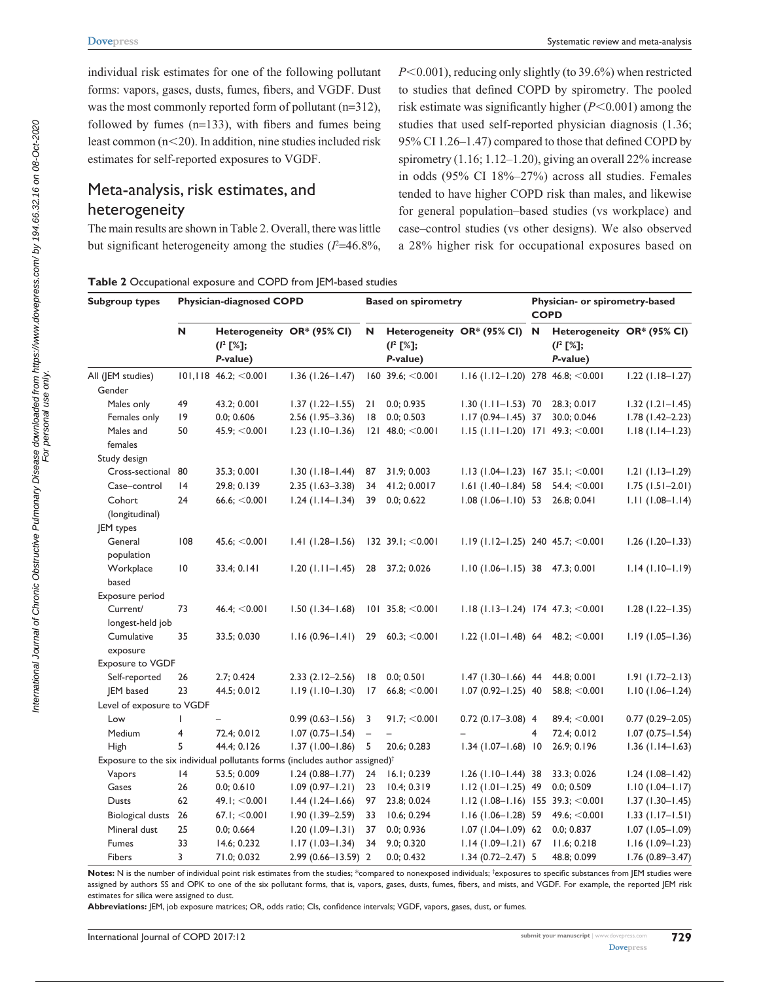individual risk estimates for one of the following pollutant forms: vapors, gases, dusts, fumes, fibers, and VGDF. Dust followed by fumes (n=133), with fibers and fumes being least common  $(n<20)$ . In addition, nine studies included risk was the most commonly reported form of pollutant (n=312), estimates for self-reported exposures to VGDF.

# Meta-analysis, risk estimates, and heterogeneity

 The main results are shown in Table 2. Overall, there was little but significant heterogeneity among the studies  $(I<sup>2</sup>=46.8%$ ,

*P*<0.001), reducing only slightly (to 39.6%) when restricted to studies that defined COPD by spirometry. The pooled risk estimate was significantly higher  $(P<0.001)$  among the studies that used self-reported physician diagnosis (1.36; 95% CI 1.26–1.47) compared to those that defined COPD by spirometry (1.16; 1.12–1.20), giving an overall 22% increase for general population–based studies (vs workplace) and case–control studies (vs other designs). We also observed a 28% higher risk for occupational exposures based on in odds (95% CI 18%–27%) across all studies. Females tended to have higher COPD risk than males, and likewise

|  |  | Table 2 Occupational exposure and COPD from JEM-based studies |
|--|--|---------------------------------------------------------------|
|  |  |                                                               |

| <b>Subgroup types</b>     | <b>Physician-diagnosed COPD</b> |                                                                   |                                                                                         |          | <b>Based on spirometry</b>                                       |                                       | Physician- or spirometry-based<br><b>COPD</b> |                                                                       |                          |  |
|---------------------------|---------------------------------|-------------------------------------------------------------------|-----------------------------------------------------------------------------------------|----------|------------------------------------------------------------------|---------------------------------------|-----------------------------------------------|-----------------------------------------------------------------------|--------------------------|--|
|                           | N                               | Heterogeneity OR* (95% CI)<br>$(I^2 \Gamma \times J;$<br>P-value) |                                                                                         | N        | Heterogeneity OR* (95% CI) N<br>(I <sup>2</sup> [%];<br>P-value) |                                       |                                               | Heterogeneity OR* (95% CI)<br>$(I^2 \Gamma \mathcal{S}$ ;<br>P-value) |                          |  |
| All (JEM studies)         |                                 | $101,118$ 46.2; < 0.001                                           | $1.36(1.26 - 1.47)$                                                                     |          | $160$ 39.6; < 0.001                                              | $1.16$ (1.12-1.20) 278 46.8; < 0.001  |                                               |                                                                       | $1.22(1.18 - 1.27)$      |  |
| Gender                    |                                 |                                                                   |                                                                                         |          |                                                                  |                                       |                                               |                                                                       |                          |  |
| Males only                | 49                              | 43.2; 0.001                                                       | $1.37(1.22 - 1.55)$                                                                     | 21       | 0.0; 0.935                                                       | $1.30$ (1.11–1.53) 70                 |                                               | 28.3; 0.017                                                           | $1.32(1.21 - 1.45)$      |  |
| Females only              | 9                               | 0.0; 0.606                                                        | 2.56 (1.95-3.36)                                                                        | 8        | 0.0; 0.503                                                       | $1.17(0.94 - 1.45)$ 37                |                                               | 30.0; 0.046                                                           | $1.78(1.42 - 2.23)$      |  |
| Males and                 | 50                              | 45.9; < 0.001                                                     | $1.23$ (1.10-1.36)                                                                      |          | $121$ 48.0; < 0.001                                              | $1.15$ (1.11–1.20) 171 49.3; < 0.001  |                                               |                                                                       | $1.18(1.14-1.23)$        |  |
| females                   |                                 |                                                                   |                                                                                         |          |                                                                  |                                       |                                               |                                                                       |                          |  |
| Study design              |                                 |                                                                   |                                                                                         |          |                                                                  |                                       |                                               |                                                                       |                          |  |
| Cross-sectional           | 80                              | 35.3; 0.001                                                       | $1.30(1.18 - 1.44)$                                                                     | 87       | 31.9; 0.003                                                      | $1.13$ (1.04–1.23) 167 35.1; <0.001   |                                               |                                                                       | $1.21(1.13 - 1.29)$      |  |
| Case-control              | 4                               | 29.8; 0.139                                                       | $2.35(1.63 - 3.38)$                                                                     | 34       | 41.2; 0.0017                                                     | $1.61$ (1.40-1.84) 58                 |                                               | 54.4; < 0.001                                                         | $1.75(1.51 - 2.01)$      |  |
| Cohort<br>(longitudinal)  | 24                              | 66.6; $< 0.001$                                                   | $1.24$ ( $1.14 - 1.34$ )                                                                | 39       | 0.0; 0.622                                                       | $1.08(1.06 - 1.10)$ 53                |                                               | 26.8; 0.041                                                           | $1.11(1.08-1.14)$        |  |
| JEM types                 |                                 |                                                                   |                                                                                         |          |                                                                  |                                       |                                               |                                                                       |                          |  |
| General                   | 108                             | 45.6; < 0.001                                                     | $1.41(1.28 - 1.56)$                                                                     |          | $132$ 39.1; < 0.001                                              | $1.19(1.12 - 1.25)$ 240 45.7; < 0.001 |                                               |                                                                       | $1.26$ (1.20-1.33)       |  |
| population                |                                 |                                                                   |                                                                                         |          |                                                                  |                                       |                                               |                                                                       |                          |  |
| Workplace<br>based        | $\overline{10}$                 | 33.4; 0.141                                                       | $1.20$ ( $1.11 - 1.45$ )                                                                | 28       | 37.2; 0.026                                                      | $1.10(1.06 - 1.15)$ 38 47.3; 0.001    |                                               |                                                                       | $1.14(1.10-1.19)$        |  |
| Exposure period           |                                 |                                                                   |                                                                                         |          |                                                                  |                                       |                                               |                                                                       |                          |  |
| Current/                  | 73                              | 46.4: < 0.001                                                     | $1.50(1.34 - 1.68)$                                                                     |          | $101$ 35.8; <0.001                                               | $1.18$ (1.13–1.24) 174 47.3; <0.001   |                                               |                                                                       | $1.28$ (1.22–1.35)       |  |
| longest-held job          |                                 |                                                                   |                                                                                         |          |                                                                  |                                       |                                               |                                                                       |                          |  |
| Cumulative                | 35                              | 33.5; 0.030                                                       | $1.16(0.96 - 1.41)$                                                                     | 29       | 60.3; < 0.001                                                    | $1.22$ (1.01-1.48) 64 48.2; < 0.001   |                                               |                                                                       | $1.19(1.05 - 1.36)$      |  |
| exposure                  |                                 |                                                                   |                                                                                         |          |                                                                  |                                       |                                               |                                                                       |                          |  |
| Exposure to VGDF          |                                 |                                                                   |                                                                                         |          |                                                                  |                                       |                                               |                                                                       |                          |  |
| Self-reported             | 26                              | 2.7; 0.424                                                        | $2.33(2.12 - 2.56)$                                                                     | 18       | 0.0; 0.501                                                       | $1.47(1.30 - 1.66)$ 44                |                                               | 44.8; 0.001                                                           | $1.91(1.72 - 2.13)$      |  |
| JEM based                 | 23                              | 44.5; 0.012                                                       | $1.19(1.10 - 1.30)$                                                                     | 17       | 66.8; $<$ 0.001                                                  | $1.07(0.92 - 1.25)$ 40                |                                               | 58.8; $<$ 0.001                                                       | $1.10(1.06 - 1.24)$      |  |
| Level of exposure to VGDF |                                 |                                                                   |                                                                                         |          |                                                                  |                                       |                                               |                                                                       |                          |  |
| Low                       | T                               |                                                                   | $0.99(0.63 - 1.56)$                                                                     | 3        | 91.7; < 0.001                                                    | $0.72(0.17-3.08)$ 4                   |                                               | 89.4; < 0.001                                                         | $0.77(0.29 - 2.05)$      |  |
| Medium                    | $\overline{4}$                  | 72.4; 0.012                                                       | $1.07(0.75 - 1.54)$                                                                     | $\equiv$ |                                                                  |                                       | 4                                             | 72.4; 0.012                                                           | $1.07(0.75 - 1.54)$      |  |
| High                      | 5                               | 44.4; 0.126                                                       | $1.37(1.00 - 1.86)$                                                                     | 5        | 20.6; 0.283                                                      | $1.34(1.07 - 1.68)$ 10                |                                               | 26.9; 0.196                                                           | $1.36$ ( $1.14 - 1.63$ ) |  |
|                           |                                 |                                                                   | Exposure to the six individual pollutants forms (includes author assigned) <sup>†</sup> |          |                                                                  |                                       |                                               |                                                                       |                          |  |
| Vapors                    | 4                               | 53.5; 0.009                                                       | $1.24(0.88 - 1.77)$                                                                     | 24       | 16.1; 0.239                                                      | $1.26$ ( $1.10 - 1.44$ ) 38           |                                               | 33.3; 0.026                                                           | $1.24$ (1.08-1.42)       |  |
| Gases                     | 26                              | 0.0; 0.610                                                        | $1.09(0.97 - 1.21)$                                                                     | 23       | 10.4; 0.319                                                      | $1.12(1.01 - 1.25)$ 49                |                                               | 0.0; 0.509                                                            | $1.10(1.04 - 1.17)$      |  |
| <b>Dusts</b>              | 62                              | 49.1; < 0.001                                                     | $1.44$ (1.24–1.66)                                                                      | 97       | 23.8; 0.024                                                      | $1.12$ (1.08-1.16) 155 39.3; < 0.001  |                                               |                                                                       | $1.37(1.30 - 1.45)$      |  |
| Biological dusts          | 26                              | $67.1$ ; $< 0.001$                                                | $1.90(1.39 - 2.59)$                                                                     | 33       | 10.6; 0.294                                                      | $1.16(1.06 - 1.28)$ 59                |                                               | 49.6; < 0.001                                                         | $1.33$ (1.17-1.51)       |  |
| Mineral dust              | 25                              | 0.0; 0.664                                                        | $1.20(1.09 - 1.31)$                                                                     | 37       | 0.0; 0.936                                                       | $1.07(1.04 - 1.09)$ 62                |                                               | 0.0; 0.837                                                            | $1.07(1.05 - 1.09)$      |  |
| <b>Fumes</b>              | 33                              | 14.6; 0.232                                                       | $1.17(1.03 - 1.34)$                                                                     | 34       | 9.0; 0.320                                                       | $1.14(1.09 - 1.21)$ 67                |                                               | 11.6; 0.218                                                           | $1.16(1.09 - 1.23)$      |  |
| <b>Fibers</b>             | 3                               | 71.0; 0.032                                                       | 2.99 (0.66-13.59) 2                                                                     |          | 0.0; 0.432                                                       | $1.34(0.72 - 2.47)$ 5                 |                                               | 48.8; 0.099                                                           | $1.76(0.89 - 3.47)$      |  |

**Notes:** N is the number of individual point risk estimates from the studies; \*compared to nonexposed individuals; † exposures to specific substances from JEM studies were assigned by authors SS and OPK to one of the six pollutant forms, that is, vapors, gases, dusts, fumes, fibers, and mists, and VGDF. For example, the reported JEM risk estimates for silica were assigned to dust.

**Abbreviations:** JEM, job exposure matrices; OR, odds ratio; CIs, confidence intervals; VGDF, vapors, gases, dust, or fumes.

**729**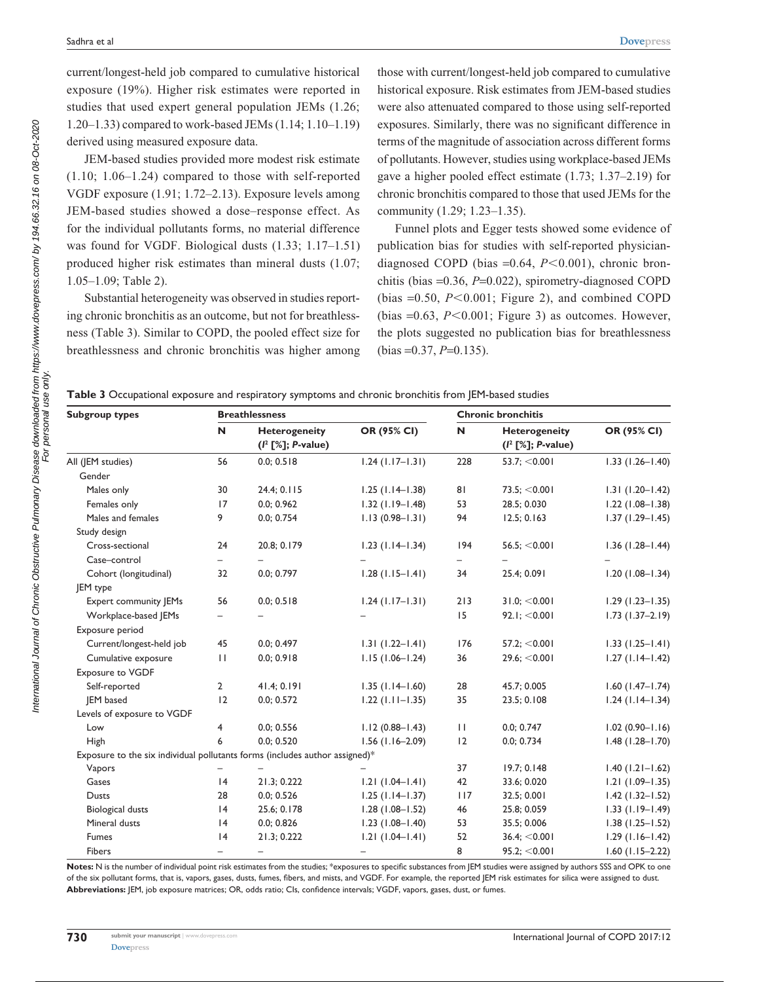current/longest-held job compared to cumulative historical exposure (19%). Higher risk estimates were reported in studies that used expert general population JEMs (1.26; 1.20–1.33) compared to work-based JEMs (1.14; 1.10–1.19) derived using measured exposure data.

 (1.10; 1.06–1.24) compared to those with self-reported JEM-based studies showed a dose–response effect. As was found for VGDF. Biological dusts (1.33; 1.17–1.51) produced higher risk estimates than mineral dusts (1.07; JEM-based studies provided more modest risk estimate VGDF exposure (1.91; 1.72–2.13). Exposure levels among for the individual pollutants forms, no material difference 1.05–1.09; Table 2).

 breathlessness and chronic bronchitis was higher among Substantial heterogeneity was observed in studies reporting chronic bronchitis as an outcome, but not for breathlessness (Table 3). Similar to COPD, the pooled effect size for

 of pollutants. However, studies using workplace-based JEMs those with current/longest-held job compared to cumulative historical exposure. Risk estimates from JEM-based studies were also attenuated compared to those using self-reported exposures. Similarly, there was no significant difference in terms of the magnitude of association across different forms gave a higher pooled effect estimate (1.73; 1.37–2.19) for chronic bronchitis compared to those that used JEMs for the community (1.29; 1.23–1.35).

(bias  $=0.50$ ,  $P<0.001$ ; Figure 2), and combined COPD (bias  $=0.63$ ,  $P<0.001$ ; Figure 3) as outcomes. However, Funnel plots and Egger tests showed some evidence of publication bias for studies with self-reported physiciandiagnosed COPD (bias  $=0.64$ ,  $P<0.001$ ), chronic bronchitis (bias =0.36, *P*=0.022), spirometry-diagnosed COPD the plots suggested no publication bias for breathlessness (bias =0.37, *P*=0.135).

**Table 3** Occupational exposure and respiratory symptoms and chronic bronchitis from JEM-based studies

| <b>Subgroup types</b>                                                       |                | <b>Breathlessness</b>                 |                     |              | <b>Chronic bronchitis</b>            |                     |  |  |
|-----------------------------------------------------------------------------|----------------|---------------------------------------|---------------------|--------------|--------------------------------------|---------------------|--|--|
|                                                                             | $\mathbf N$    | Heterogeneity<br>$(I^2 [%]; P-value)$ | OR (95% CI)         | $\mathbf N$  | Heterogeneity<br>$(I2 [%]; P-value)$ | OR (95% CI)         |  |  |
| All (JEM studies)                                                           | 56             | 0.0; 0.518                            | $1.24$ (1.17-1.31)  | 228          | 53.7; < 0.001                        | $1.33(1.26 - 1.40)$ |  |  |
| Gender                                                                      |                |                                       |                     |              |                                      |                     |  |  |
| Males only                                                                  | 30             | 24.4; 0.115                           | $1.25(1.14-1.38)$   | 81           | 73.5; < 0.001                        | $1.31(1.20 - 1.42)$ |  |  |
| Females only                                                                | 17             | 0.0; 0.962                            | $1.32(1.19 - 1.48)$ | 53           | 28.5; 0.030                          | $1.22(1.08 - 1.38)$ |  |  |
| Males and females                                                           | 9              | 0.0; 0.754                            | $1.13(0.98 - 1.31)$ | 94           | 12.5; 0.163                          | $1.37(1.29 - 1.45)$ |  |  |
| Study design                                                                |                |                                       |                     |              |                                      |                     |  |  |
| Cross-sectional                                                             | 24             | 20.8; 0.179                           | $1.23$ (1.14–1.34)  | 194          | 56.5; < 0.001                        | $1.36(1.28 - 1.44)$ |  |  |
| Case-control                                                                |                |                                       |                     | -            |                                      |                     |  |  |
| Cohort (longitudinal)                                                       | 32             | 0.0; 0.797                            | $1.28(1.15 - 1.41)$ | 34           | 25.4; 0.091                          | $1.20(1.08 - 1.34)$ |  |  |
| JEM type                                                                    |                |                                       |                     |              |                                      |                     |  |  |
| Expert community JEMs                                                       | 56             | 0.0; 0.518                            | $1.24$ (1.17-1.31)  | 213          | 31.0; < 0.001                        | $1.29$ (1.23-1.35)  |  |  |
| Workplace-based JEMs                                                        |                |                                       |                     | 15           | 92.1; < 0.001                        | $1.73(1.37-2.19)$   |  |  |
| Exposure period                                                             |                |                                       |                     |              |                                      |                     |  |  |
| Current/longest-held job                                                    | 45             | 0.0; 0.497                            | $1.31(1.22 - 1.41)$ | 176          | 57.2; < 0.001                        | $1.33(1.25 - 1.41)$ |  |  |
| Cumulative exposure                                                         | $\mathbf{H}$   | 0.0; 0.918                            | $1.15(1.06 - 1.24)$ | 36           | 29.6; < 0.001                        | $1.27(1.14-1.42)$   |  |  |
| Exposure to VGDF                                                            |                |                                       |                     |              |                                      |                     |  |  |
| Self-reported                                                               | $\overline{2}$ | 41.4; 0.191                           | $1.35$ (1.14–1.60)  | 28           | 45.7; 0.005                          | $1.60$ (1.47-1.74)  |  |  |
| <b>JEM</b> based                                                            | 12             | 0.0; 0.572                            | $1.22$ (1.11-1.35)  | 35           | 23.5; 0.108                          | $1.24$ (1.14–1.34)  |  |  |
| Levels of exposure to VGDF                                                  |                |                                       |                     |              |                                      |                     |  |  |
| Low                                                                         | 4              | 0.0; 0.556                            | $1.12(0.88 - 1.43)$ | $\mathbf{H}$ | 0.0; 0.747                           | $1.02(0.90 - 1.16)$ |  |  |
| High                                                                        | 6              | 0.0; 0.520                            | $1.56$ (1.16-2.09)  | 12           | 0.0; 0.734                           | $1.48(1.28 - 1.70)$ |  |  |
| Exposure to the six individual pollutants forms (includes author assigned)* |                |                                       |                     |              |                                      |                     |  |  |
| Vapors                                                                      |                |                                       |                     | 37           | 19.7; 0.148                          | $1.40$ (1.21-1.62)  |  |  |
| Gases                                                                       | 4              | 21.3; 0.222                           | $1.21(1.04-1.41)$   | 42           | 33.6; 0.020                          | $1.21(1.09 - 1.35)$ |  |  |
| Dusts                                                                       | 28             | 0.0; 0.526                            | $1.25(1.14-1.37)$   | 117          | 32.5; 0.001                          | $1.42(1.32 - 1.52)$ |  |  |
| <b>Biological dusts</b>                                                     | 4              | 25.6; 0.178                           | $1.28(1.08 - 1.52)$ | 46           | 25.8; 0.059                          | $1.33(1.19 - 1.49)$ |  |  |
| Mineral dusts                                                               | 4              | 0.0; 0.826                            | $1.23(1.08 - 1.40)$ | 53           | 35.5; 0.006                          | $1.38(1.25 - 1.52)$ |  |  |
| <b>Fumes</b>                                                                | 4              | 21.3; 0.222                           | $1.21(1.04-1.41)$   | 52           | 36.4; < 0.001                        | $1.29$ (1.16–1.42)  |  |  |
| Fibers                                                                      |                |                                       |                     | 8            | 95.2; < 0.001                        | $1.60$ (1.15-2.22)  |  |  |

**Notes:** N is the number of individual point risk estimates from the studies; \*exposures to specific substances from JEM studies were assigned by authors SSS and OPK to one of the six pollutant forms, that is, vapors, gases, dusts, fumes, fibers, and mists, and VGDF. For example, the reported JEM risk estimates for silica were assigned to dust. **Abbreviations:** JEM, job exposure matrices; OR, odds ratio; CIs, confidence intervals; VGDF, vapors, gases, dust, or fumes.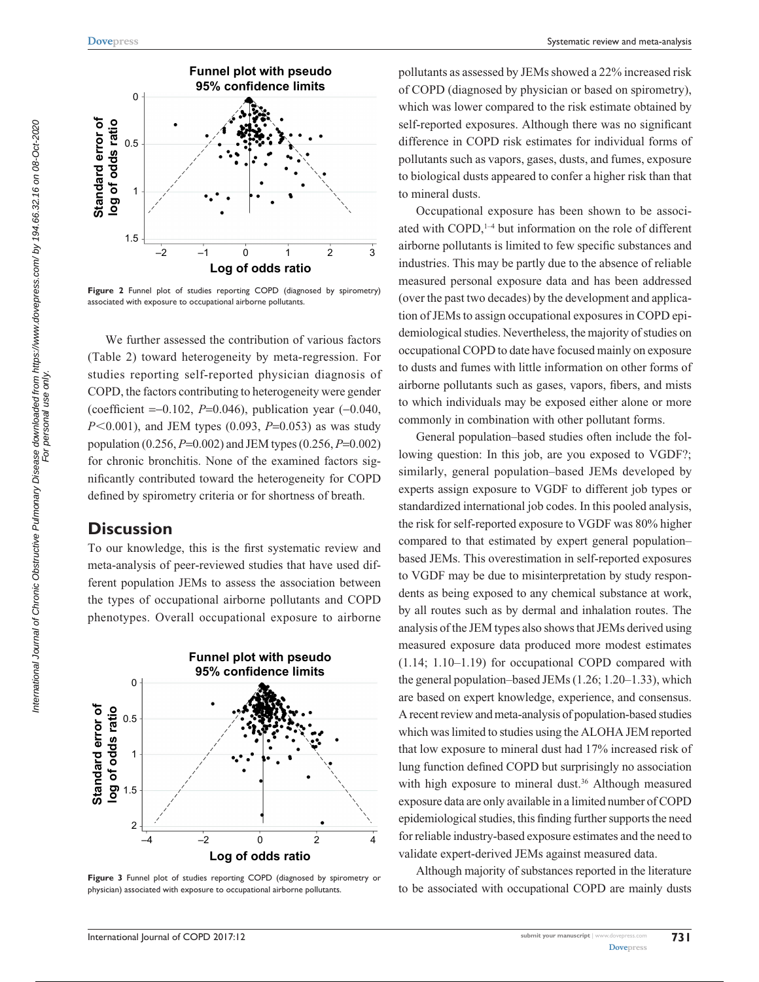

**Figure 2** Funnel plot of studies reporting COPD (diagnosed by spirometry) associated with exposure to occupational airborne pollutants.

 (Table 2) toward heterogeneity by meta-regression. For studies reporting self-reported physician diagnosis of COPD, the factors contributing to heterogeneity were gender We further assessed the contribution of various factors (coefficient  $=-0.102$ ,  $P=0.046$ ), publication year  $(-0.040,$ *P*<0.001), and JEM types (0.093, *P*=0.053) as was study population (0.256, *P*=0.002) and JEM types (0.256, *P*=0.002) for chronic bronchitis. None of the examined factors significantly contributed toward the heterogeneity for COPD defined by spirometry criteria or for shortness of breath.

#### **Discussion**

 the types of occupational airborne pollutants and COPD phenotypes. Overall occupational exposure to airborne To our knowledge, this is the first systematic review and meta-analysis of peer-reviewed studies that have used different population JEMs to assess the association between



**Figure 3** Funnel plot of studies reporting COPD (diagnosed by spirometry or physician) associated with exposure to occupational airborne pollutants.

 pollutants as assessed by JEMs showed a 22% increased risk of COPD (diagnosed by physician or based on spirometry), which was lower compared to the risk estimate obtained by self-reported exposures. Although there was no significant difference in COPD risk estimates for individual forms of pollutants such as vapors, gases, dusts, and fumes, exposure to biological dusts appeared to confer a higher risk than that to mineral dusts.

 demiological studies. Nevertheless, the majority of studies on occupational COPD to date have focused mainly on exposure Occupational exposure has been shown to be associated with COPD,<sup>1-4</sup> but information on the role of different airborne pollutants is limited to few specific substances and industries. This may be partly due to the absence of reliable measured personal exposure data and has been addressed (over the past two decades) by the development and application of JEMs to assign occupational exposures in COPD epito dusts and fumes with little information on other forms of airborne pollutants such as gases, vapors, fibers, and mists to which individuals may be exposed either alone or more commonly in combination with other pollutant forms.

 lowing question: In this job, are you exposed to VGDF?; similarly, general population–based JEMs developed by experts assign exposure to VGDF to different job types or standardized international job codes. In this pooled analysis, dents as being exposed to any chemical substance at work, analysis of the JEM types also shows that JEMs derived using measured exposure data produced more modest estimates (1.14; 1.10–1.19) for occupational COPD compared with are based on expert knowledge, experience, and consensus. A recent review and meta-analysis of population-based studies which was limited to studies using the ALOHA JEM reported that low exposure to mineral dust had 17% increased risk of lung function defined COPD but surprisingly no association exposure data are only available in a limited number of COPD epidemiological studies, this finding further supports the need for reliable industry-based exposure estimates and the need to General population–based studies often include the folthe risk for self-reported exposure to VGDF was 80% higher compared to that estimated by expert general population– based JEMs. This overestimation in self-reported exposures to VGDF may be due to misinterpretation by study responby all routes such as by dermal and inhalation routes. The the general population–based JEMs (1.26; 1.20–1.33), which with high exposure to mineral dust.<sup>36</sup> Although measured validate expert-derived JEMs against measured data.

 Although majority of substances reported in the literature to be associated with occupational COPD are mainly dusts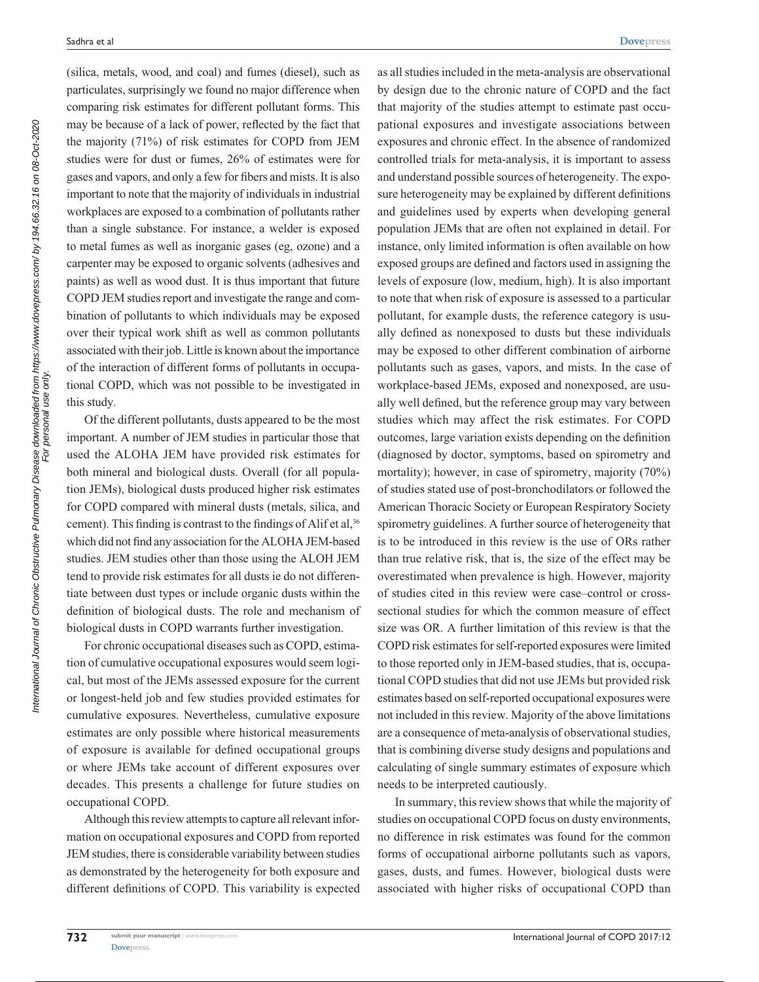(silica, metals, wood, and coal) and fumes (diesel), such as particulates, surprisingly we found no major difference when comparing risk estimates for different pollutant forms. This may be because of a lack of power, reflected by the fact that workplaces are exposed to a combination of pollutants rather than a single substance. For instance, a welder is exposed bination of pollutants to which individuals may be exposed over their typical work shift as well as common pollutants associated with their job. Little is known about the importance the majority (71%) of risk estimates for COPD from JEM studies were for dust or fumes, 26% of estimates were for gases and vapors, and only a few for fibers and mists. It is also important to note that the majority of individuals in industrial to metal fumes as well as inorganic gases (eg, ozone) and a carpenter may be exposed to organic solvents (adhesives and paints) as well as wood dust. It is thus important that future COPD JEM studies report and investigate the range and comof the interaction of different forms of pollutants in occupational COPD, which was not possible to be investigated in this study.

 important. A number of JEM studies in particular those that used the ALOHA JEM have provided risk estimates for tion JEMs), biological dusts produced higher risk estimates for COPD compared with mineral dusts (metals, silica, and which did not find any association for the ALOHA JEM-based tiate between dust types or include organic dusts within the Of the different pollutants, dusts appeared to be the most both mineral and biological dusts. Overall (for all populacement). This finding is contrast to the findings of Alif et al,<sup>36</sup> studies. JEM studies other than those using the ALOH JEM tend to provide risk estimates for all dusts ie do not differendefinition of biological dusts. The role and mechanism of biological dusts in COPD warrants further investigation.

 of exposure is available for defined occupational groups or where JEMs take account of different exposures over decades. This presents a challenge for future studies on For chronic occupational diseases such as COPD, estimation of cumulative occupational exposures would seem logical, but most of the JEMs assessed exposure for the current or longest-held job and few studies provided estimates for cumulative exposures. Nevertheless, cumulative exposure estimates are only possible where historical measurements occupational COPD.

 JEM studies, there is considerable variability between studies Although this review attempts to capture all relevant information on occupational exposures and COPD from reported as demonstrated by the heterogeneity for both exposure and different definitions of COPD. This variability is expected

 pational exposures and investigate associations between and guidelines used by experts when developing general studies which may affect the risk estimates. For COPD American Thoracic Society or European Respiratory Society spirometry guidelines. A further source of heterogeneity that COPD risk estimates for self-reported exposures were limited estimates based on self-reported occupational exposures were not included in this review. Majority of the above limitations as all studies included in the meta-analysis are observational by design due to the chronic nature of COPD and the fact that majority of the studies attempt to estimate past occuexposures and chronic effect. In the absence of randomized controlled trials for meta-analysis, it is important to assess and understand possible sources of heterogeneity. The exposure heterogeneity may be explained by different definitions population JEMs that are often not explained in detail. For instance, only limited information is often available on how exposed groups are defined and factors used in assigning the levels of exposure (low, medium, high). It is also important to note that when risk of exposure is assessed to a particular pollutant, for example dusts, the reference category is usually defined as nonexposed to dusts but these individuals may be exposed to other different combination of airborne pollutants such as gases, vapors, and mists. In the case of workplace-based JEMs, exposed and nonexposed, are usually well defined, but the reference group may vary between outcomes, large variation exists depending on the definition (diagnosed by doctor, symptoms, based on spirometry and mortality); however, in case of spirometry, majority (70%) of studies stated use of post-bronchodilators or followed the is to be introduced in this review is the use of ORs rather than true relative risk, that is, the size of the effect may be overestimated when prevalence is high. However, majority of studies cited in this review were case–control or crosssectional studies for which the common measure of effect size was OR. A further limitation of this review is that the to those reported only in JEM-based studies, that is, occupational COPD studies that did not use JEMs but provided risk are a consequence of meta-analysis of observational studies, that is combining diverse study designs and populations and calculating of single summary estimates of exposure which needs to be interpreted cautiously.

 In summary, this review shows that while the majority of studies on occupational COPD focus on dusty environments, gases, dusts, and fumes. However, biological dusts were associated with higher risks of occupational COPD than no difference in risk estimates was found for the common forms of occupational airborne pollutants such as vapors,

For personal use only.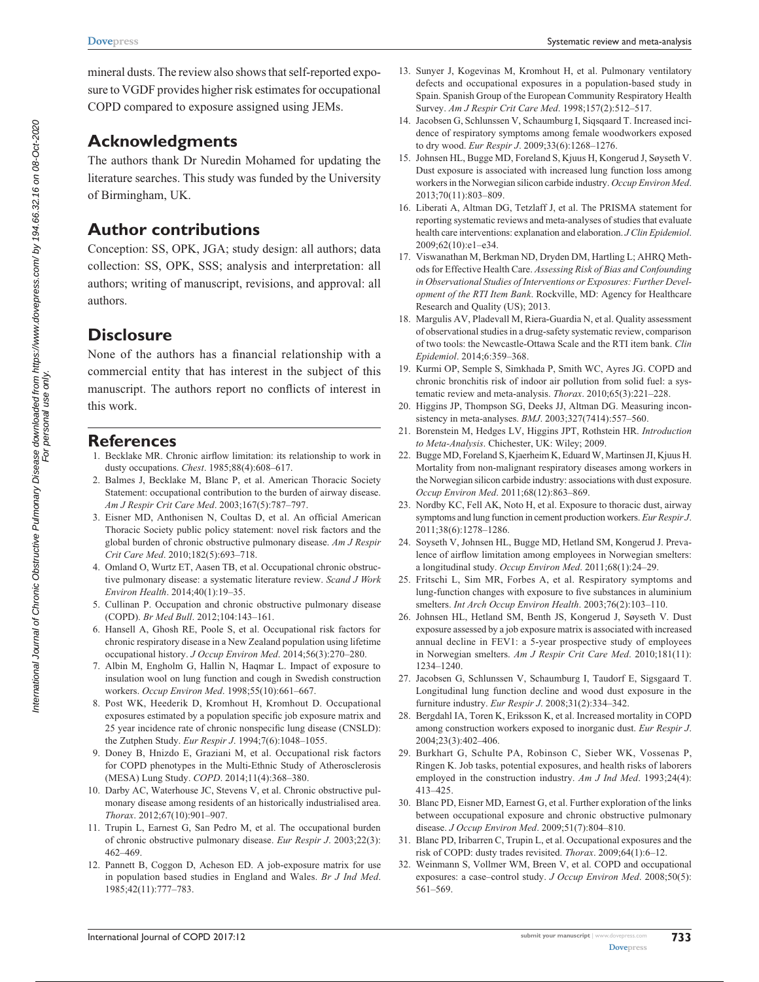sure to VGDF provides higher risk estimates for occupational mineral dusts. The review also shows that self-reported expo-COPD compared to exposure assigned using JEMs.

## **Acknowledgments**

The authors thank Dr Nuredin Mohamed for updating the literature searches. This study was funded by the University of Birmingham, UK.

## **Author contributions**

Conception: SS, OPK, JGA; study design: all authors; data collection: SS, OPK, SSS; analysis and interpretation: all authors; writing of manuscript, revisions, and approval: all authors.

### **Disclosure**

 None of the authors has a financial relationship with a commercial entity that has interest in the subject of this manuscript. The authors report no conflicts of interest in this work.

## **References**

- 1. Becklake MR. Chronic airflow limitation: its relationship to work in dusty occupations. *Chest*. 1985;88(4):608–617.
- 2. Balmes J, Becklake M, Blanc P, et al. American Thoracic Society Statement: occupational contribution to the burden of airway disease. *Am J Respir Crit Care Med*. 2003;167(5):787–797.
- 3. Eisner MD, Anthonisen N, Coultas D, et al. An official American Thoracic Society public policy statement: novel risk factors and the global burden of chronic obstructive pulmonary disease. *Am J Respir Crit Care Med*. 2010;182(5):693–718.
- 4. Omland O, Wurtz ET, Aasen TB, et al. Occupational chronic obstructive pulmonary disease: a systematic literature review. *Scand J Work Environ Health*. 2014;40(1):19–35.
- 5. Cullinan P. Occupation and chronic obstructive pulmonary disease (COPD). *Br Med Bull*. 2012;104:143–161.
- 6. Hansell A, Ghosh RE, Poole S, et al. Occupational risk factors for chronic respiratory disease in a New Zealand population using lifetime occupational history. *J Occup Environ Med*. 2014;56(3):270–280.
- 7. Albin M, Engholm G, Hallin N, Haqmar L. Impact of exposure to insulation wool on lung function and cough in Swedish construction workers. *Occup Environ Med*. 1998;55(10):661–667.
- 8. Post WK, Heederik D, Kromhout H, Kromhout D. Occupational exposures estimated by a population specific job exposure matrix and 25 year incidence rate of chronic nonspecific lung disease (CNSLD): the Zutphen Study. *Eur Respir J*. 1994;7(6):1048–1055.
- 9. Doney B, Hnizdo E, Graziani M, et al. Occupational risk factors for COPD phenotypes in the Multi-Ethnic Study of Atherosclerosis (MESA) Lung Study. *COPD*. 2014;11(4):368–380.
- 10. Darby AC, Waterhouse JC, Stevens V, et al. Chronic obstructive pulmonary disease among residents of an historically industrialised area. *Thorax*. 2012;67(10):901–907.
- 11. Trupin L, Earnest G, San Pedro M, et al. The occupational burden of chronic obstructive pulmonary disease. *Eur Respir J*. 2003;22(3): 462–469.
- 12. Pannett B, Coggon D, Acheson ED. A job-exposure matrix for use in population based studies in England and Wales. *Br J Ind Med*. 1985;42(11):777–783.
- 13. Sunyer J, Kogevinas M, Kromhout H, et al. Pulmonary ventilatory defects and occupational exposures in a population-based study in Spain. Spanish Group of the European Community Respiratory Health Survey. *Am J Respir Crit Care Med*. 1998;157(2):512–517.
- 14. Jacobsen G, Schlunssen V, Schaumburg I, Siqsqaard T. Increased incidence of respiratory symptoms among female woodworkers exposed to dry wood. *Eur Respir J*. 2009;33(6):1268–1276.
- 15. Johnsen HL, Bugge MD, Foreland S, Kjuus H, Kongerud J, Søyseth V. Dust exposure is associated with increased lung function loss among workers in the Norwegian silicon carbide industry. *Occup Environ Med*. 2013;70(11):803–809.
- 16. Liberati A, Altman DG, Tetzlaff J, et al. The PRISMA statement for reporting systematic reviews and meta-analyses of studies that evaluate health care interventions: explanation and elaboration. *J Clin Epidemiol*. 2009;62(10):e1–e34.
- 17. Viswanathan M, Berkman ND, Dryden DM, Hartling L; AHRQ Methods for Effective Health Care. *Assessing Risk of Bias and Confounding in Observational Studies of Interventions or Exposures: Further Development of the RTI Item Bank*. Rockville, MD: Agency for Healthcare Research and Quality (US); 2013.
- 18. Margulis AV, Pladevall M, Riera-Guardia N, et al. Quality assessment of observational studies in a drug-safety systematic review, comparison of two tools: the Newcastle-Ottawa Scale and the RTI item bank. *Clin Epidemiol*. 2014;6:359–368.
- 19. Kurmi OP, Semple S, Simkhada P, Smith WC, Ayres JG. COPD and chronic bronchitis risk of indoor air pollution from solid fuel: a systematic review and meta-analysis. *Thorax*. 2010;65(3):221–228.
- 20. Higgins JP, Thompson SG, Deeks JJ, Altman DG. Measuring inconsistency in meta-analyses. *BMJ*. 2003;327(7414):557–560.
- 21. Borenstein M, Hedges LV, Higgins JPT, Rothstein HR. *Introduction to Meta-Analysis*. Chichester, UK: Wiley; 2009.
- 22. Bugge MD, Foreland S, Kjaerheim K, Eduard W, Martinsen JI, Kjuus H. the Norwegian silicon carbide industry: associations with dust exposure. Mortality from non-malignant respiratory diseases among workers in *Occup Environ Med*. 2011;68(12):863–869.
- 23. Nordby KC, Fell AK, Noto H, et al. Exposure to thoracic dust, airway symptoms and lung function in cement production workers. *Eur Respir J*. 2011;38(6):1278–1286.
- 24. Soyseth V, Johnsen HL, Bugge MD, Hetland SM, Kongerud J. Prevalence of airflow limitation among employees in Norwegian smelters: a longitudinal study. *Occup Environ Med*. 2011;68(1):24–29.
- 25. Fritschi L, Sim MR, Forbes A, et al. Respiratory symptoms and lung-function changes with exposure to five substances in aluminium smelters. *Int Arch Occup Environ Health*. 2003;76(2):103–110.
- 26. Johnsen HL, Hetland SM, Benth JS, Kongerud J, Søyseth V. Dust exposure assessed by a job exposure matrix is associated with increased annual decline in FEV1: a 5-year prospective study of employees in Norwegian smelters. *Am J Respir Crit Care Med*. 2010;181(11): 1234–1240.
- 27. Jacobsen G, Schlunssen V, Schaumburg I, Taudorf E, Sigsgaard T. Longitudinal lung function decline and wood dust exposure in the furniture industry. *Eur Respir J*. 2008;31(2):334–342.
- 28. Bergdahl IA, Toren K, Eriksson K, et al. Increased mortality in COPD among construction workers exposed to inorganic dust. *Eur Respir J*. 2004;23(3):402–406.
- 29. Burkhart G, Schulte PA, Robinson C, Sieber WK, Vossenas P, Ringen K. Job tasks, potential exposures, and health risks of laborers employed in the construction industry. *Am J Ind Med*. 1993;24(4): 413–425.
- 30. Blanc PD, Eisner MD, Earnest G, et al. Further exploration of the links between occupational exposure and chronic obstructive pulmonary disease. *J Occup Environ Med*. 2009;51(7):804–810.
- 31. Blanc PD, Iribarren C, Trupin L, et al. Occupational exposures and the risk of COPD: dusty trades revisited. *Thorax*. 2009;64(1):6–12.
- 32. Weinmann S, Vollmer WM, Breen V, et al. COPD and occupational exposures: a case–control study. *J Occup Environ Med*. 2008;50(5): 561–569.